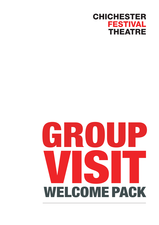### **CHICHESTER FESTIVAL THEATRE**

# WEI COME PACK WELCOME PACK **BO**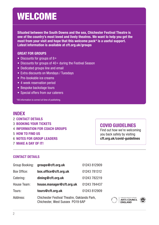### WELCOME

**Situated between the South Downs and the sea, Chichester Festival Theatre is one of the country's most loved and lively theatres. We want to help you get the most from your visit and hope that this welcome pack\* is a useful support. Latest information is available at cft.org.uk/groups**

#### **GREAT FOR GROUPS**

- Discounts for groups of 8+
- Discounts for groups of 40+ during the Festival Season
- Dedicated groups line and email
- Extra discounts on Mondays / Tuesdays
- Pre-bookable ice creams
- 4 week reservation period
- Bespoke backstage tours
- Special offers from our caterers

\*All information is correct at time of publishing.

### **INDEX**

- 2 **CONTACT DETAILS**
- 3 **BOOKING YOUR TICKETS**
- 4 **INFORMATION FOR COACH GROUPS**
- 5 **HOW TO FIND US**
- 6 **NOTES FOR GROUP LEADERS**
- 7 **MAKE A DAY OF IT!**

### **COVID GUIDELINES**

Find out how we're welcoming you back safely by visiting **cft.org.uk/covid-guidelines**

#### **CONTACT DETAILS**

| Group Booking: | groups@cft.org.uk                                                               | 01243 812909 |
|----------------|---------------------------------------------------------------------------------|--------------|
| Box Office:    | box.office@cft.org.uk                                                           | 01243 781312 |
| Catering:      | dining@cft.org.uk                                                               | 01243 782219 |
| House Team:    | house.manager@cft.org.uk                                                        | 01243 784437 |
| Tours:         | tours@cft.org.uk                                                                | 01243 812909 |
| Address:       | Chichester Festival Theatre, Oaklands Park,<br>Chichester, West Sussex P019 6AP |              |

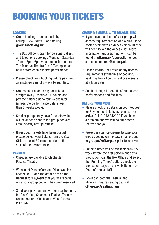# BOOKING YOUR TICKETS

#### **BOOKING**

- Group bookings can be made by calling 01243 812909 or emailing **groups@cft.org.uk**
- The Box Office is open for personal callers and telephone bookings Monday – Saturday 10am – 8pm (6pm when no performance). The Minerva Theatre Box Office opens one hour before each Minerva performance.
- Please check your booking before payment as mistakes cannot always be rectified.
- Groups don't need to pay for tickets straight away – reserve 8+ tickets and pay the balance up to four weeks later (unless the performance date is less than 2 weeks away).
- Smaller groups may have E-tickets which will have been sent to the group bookers email shortly after purchase.
- Unless your tickets have been posted, please collect your tickets from the Box Office at least 30 minutes prior to the start of the performance.

#### **PAYMENT**

- Cheques are payable to Chichester Festival Theatre.
- We accept MasterCard and Visa. We also accept BACS and the details are on the Request for Payment that you will receive once your group booking has been reserved.
- Send your payment and written requirements to: Box Office, Chichester Festival Theatre, Oaklands Park, Chichester, West Sussex PO19 6AP

#### **GROUP MEMBERS WITH DISABILITIES**

- If you have members of your group with access requirements or who would like to book tickets with an Access discount they will need to join the Access List. More information and a sign up form can be found at **cft**.**org.uk/accesslist**, or you can email **access@cft.org.uk.**
- Please inform Box Office of any access requirements at the time of booking, as it may be difficult to reallocate seats at a later date.
- See back page for details of our access performances and facilities.

#### **BEFORE YOUR VISIT**

- Please check the details on your Request for Payment or tickets as soon as they arrive. Call 01243 812909 if you have a problem and we will do our best to rectify it for you.
- Pre-order your ice creams to save your group queuing on the day. Email orders to **groups@cft.org.uk** prior to your visit.
- Running times will be available from the week before the first performance of a production. Call the Box Office and select the 'Running Times' option, check the production page on our website, or ask Front of House staff.
- Download both the Festival and Minerva Theatre seating plans at **cft.org.uk/seatingplans**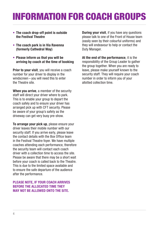# INFORMATION FOR COACH GROUPS

- **The coach drop-off point is outside the Festival Theatre**
- **The coach park is in Via Ravenna (formerly Cathedral Way)**
- **Please inform us that you will be arriving by coach at the time of booking**

**Prior to your visit**, you will receive a coach number for your driver to display in the windscreen – you will need this to enter the Theatre site.

**When you arrive**, a member of the security staff will direct your driver where to park. This is to enable your group to depart the coach safely and to ensure your driver has arranged pick up with CFT security. Please be aware of your group's safety as the driveway can get very busy pre-show.

**To arrange your pick up**, please ensure your driver leaves their mobile number with our security staff. If you arrive early, please leave the contact details with the Box Office team in the Festival Theatre foyer. We have multiple coaches attending each performance, therefore the security team will contact each coach driver with a collection time to access the site. Please be aware that there may be a short wait before your coach is called back to the Theatre. This is due to the limited space available and to ensure the safe departure of the audience after the performance.

#### **PLEASE NOTE, IF YOUR COACH ARRIVES BEFORE THE ALLOCATED TIME THEY MAY NOT BE ALLOWED ONTO THE SITE.**

**During your visit**, if you have any questions please talk to one of the Front of House team (easily seen by their colourful uniforms) and they will endeavour to help or contact the Duty Manager.

**At the end of the performance**, it is the responsibility of the Group Leader to gather the group together. When you are ready to leave, please make yourself known to the security staff. They will require your coach number in order to inform you of your allotted collection time.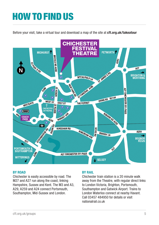### HOW TO FIND US

Before your visit, take a virtual tour and download a map of the site at **cft.org.uk/takeatour**



#### **BY ROAD**

Chichester is easily accessible by road. The M27 and A27 run along the coast, linking Hampshire, Sussex and Kent. The M3 and A3, A29, A259 and A24 connect Portsmouth, Southampton, Mid-Sussex and London.

#### **BY RAIL**

Chichester train station is a 20 minute walk away from the Theatre, with regular direct links to London Victoria, Brighton, Portsmouth, Southampton and Gatwick Airport. Trains to London Waterloo connect at nearby Havant. Call 03457 484950 for details or visit nationalrail co.uk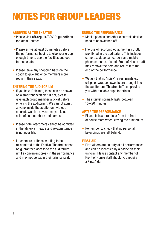## NOTES FOR GROUP LEADERS

#### **ARRIVING AT THE THEATRE**

- •Please visit **cft.org.uk/COVID-guidelines** for latest updates.
- •Please arrive at least 30 minutes before the performance begins to give your group enough time to use the facilities and get to their seats.
- Please leave any shopping bags on the coach to give audience members more room in their seats.

#### **ENTERING THE AUDITORIUM**

- If you have E-tickets, these can be shown on a smartphone/tablet. If not, please give each group member a ticket before entering the auditorium. We cannot admit anyone inside the auditorium without a ticket. We also advise that you keep a list of seat numbers and names.
- Please note latecomers cannot be admitted in the Minerva Theatre and re-admittance is not possible.
- Latecomers or those wanting to be re-admitted to the Festival Theatre cannot be guaranteed access to the auditorium until a convenient break in the performance and may not be sat in their original seat.

#### **DURING THE PERFORMANCE**

- Mobile phones and other electronic devices need to be switched off.
- The use of recording equipment is strictly prohibited in the auditorium. This includes cameras, video camcorders and mobile phone cameras. If used, Front of House staff may remove the item and return it at the end of the performance.
- We ask that no 'noisy' refreshments e.g. crisps or wrapped sweets are brought into the auditorium. Theatre staff can provide you with reusable cups for drinks.
- The interval normally lasts between  $15 - 20$  minutes

#### **AFTER THE PERFORMANCE**

- Please follow directions from the front of house team when leaving the auditorium.
- Remember to check that no personal belongings are left behind.

#### **FIRST AID**

• First Aiders are on duty at all performances and can be identified by a badge on their uniform. Please contact any member of Front of House staff should you require a First Aider.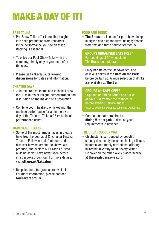# MAKE A DAY OF IT!

#### **FREE TALKS**

- Pre-Show Talks offer incredible insight into each production from rehearsal to the performance you see on stage. Booking is essential.
- To enjoy our Post-Show Talks with the company, simply stay in your seat after the show.
- Please visit **cft.org.uk/talks-and discussions** for dates and information.

#### **THEATRE DAYS**

- Join the creative teams and technical crew for 90 minutes of insight, demonstration and discussion on the making of a production.
- Combine your Theatre Day ticket with the matinee performance for an immersive day at the Theatre. Tickets £5 (+ optional performance ticket.)

#### **BACKSTAGE TOURS**

- Some of the most famous faces in theatre have trod the boards of Chichester Festival Theatre. Follow in their footsteps and discover how we create the shows we produce, and explore our Grade II\* listed building as you have never seen before in a bespoke group tour. For more details, visit **cft.org.uk/takeatour**
- Bespoke tours for groups are available. For more information, please contact, **tours@cft.org.uk**.

#### **FOOD AND DRINK**

• **The Brasserie** is open for pre-show dining in stylish and elegant surroundings; choose from two and three course set menus.

**GROUPS ORGANISER EATS FREE** \* For bookings of 20+ people in The Brasserie restaurant.

• Enjoy barista coffee, sandwiches, and delicious cakes in the **Café on the Park** before curtain up. A wide selection of drinks are available at **The Bar**.

#### **GROUPS 8+ CAFE OFFER**

£6pp tea or barista coffee and a slice of cake.\* Enjoy after the matinee or before evening performances. \*Must be booked in advance. Subject to availability.

• Contact our caterers direct at **dining@cft.org.uk** to discuss your requirements in advance.

#### **THE GREAT SUSSEX WAY**

• Chichester is surrounded by beautiful countryside, sandy beaches, fishing villages, historical and family attractions, offering incredible diversity to suit every visitor. Discover all the other lovely places nearby at **thegreatsussexway.org**